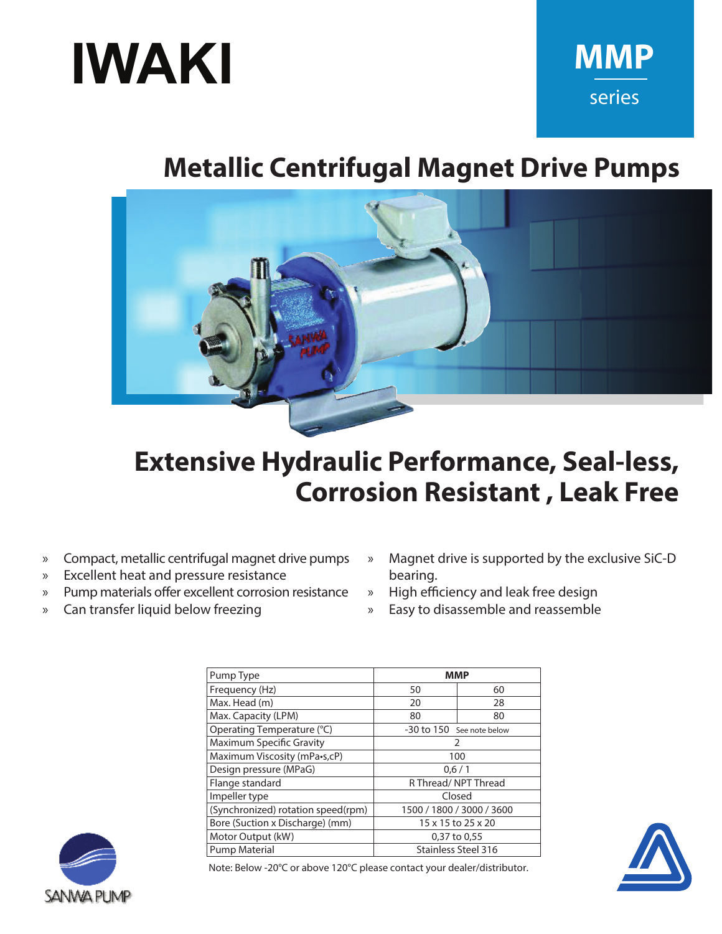# $\frac{1}{\sqrt{2}}$  standard Product Capabilities Capabilities Capabilities Capabilities Capabilities Capabilities Capabilities Capabilities Capabilities Capabilities Capabilities Capabilities Capabilities Capabilities Capabilit **IWAKI** MMP



# **Metallic Centrifugal Magnet Drive Pumps**



# **Extensive Hydraulic Performance, Seal-less, Corrosion Resistant , Leak Free**

- » Compact, metallic centrifugal magnet drive pumps
- » Excellent heat and pressure resistance
- » Pump materials offer excellent corrosion resistance
- » Can transfer liquid below freezing
- » Magnet drive is supported by the exclusive SiC-D bearing.
- » High efficiency and leak free design
- » Easy to disassemble and reassemble

| Pump Type                          |                      | MMP                       |  |  |  |
|------------------------------------|----------------------|---------------------------|--|--|--|
| Frequency (Hz)                     | 50                   | 60                        |  |  |  |
| Max. Head (m)                      | 20                   | 28                        |  |  |  |
| Max. Capacity (LPM)                | 80                   | 80                        |  |  |  |
| Operating Temperature (°C)         |                      | -30 to 150 See note below |  |  |  |
| Maximum Specific Gravity           |                      | ς                         |  |  |  |
| Maximum Viscosity (mPa•s,cP)       | 100                  |                           |  |  |  |
| Design pressure (MPaG)             | 0.6/1                |                           |  |  |  |
| Flange standard                    | R Thread/ NPT Thread |                           |  |  |  |
| Impeller type                      |                      | Closed                    |  |  |  |
| (Synchronized) rotation speed(rpm) |                      | 1500 / 1800 / 3000 / 3600 |  |  |  |
| Bore (Suction x Discharge) (mm)    |                      | 15 x 15 to 25 x 20        |  |  |  |
| Motor Output (kW)                  |                      | 0,37 to 0,55              |  |  |  |
| <b>Pump Material</b>               | Stainless Steel 316  |                           |  |  |  |
|                                    |                      |                           |  |  |  |





Note: Below -20°C or above 120°C please contact your dealer/distributor.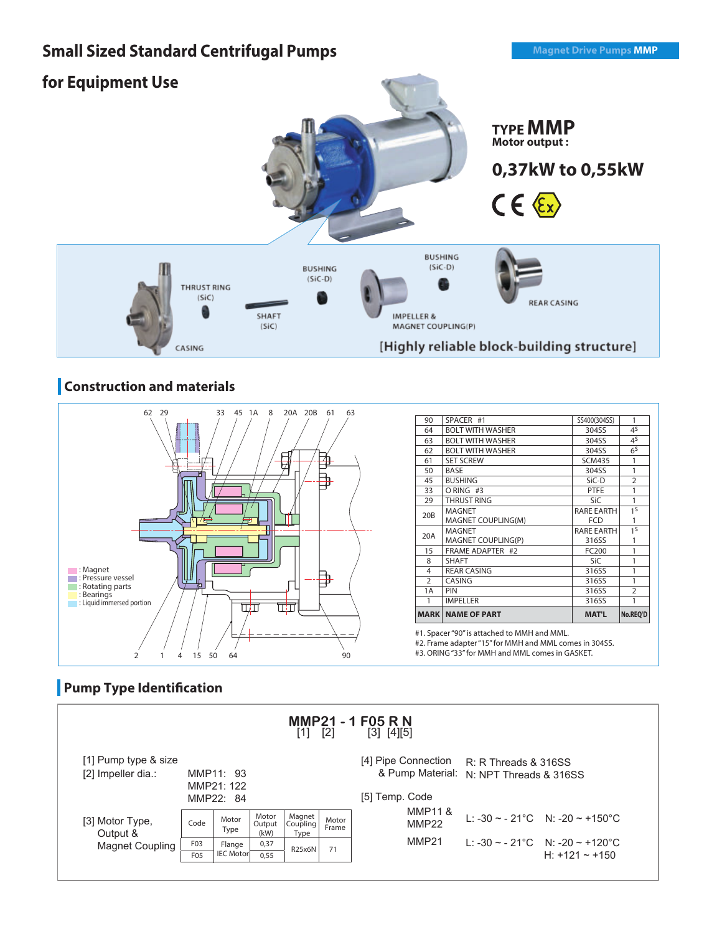### **Small Sized Standard Centrifugal Pumps** *MAgnet Drive Pumps MMP* **for Equipment Use TYPE MMP Motor output : 0,37kW to 0,55kW**  $CE \rightarrow$ **BUSHING BUSHING**  $(SiC-D)$  $(SiC-D)$ THRUST RING  $(SiC)$ REAR CASING SHAFT **IMPELLER &** MAGNET COUPLING(P)  $(SiC)$ [Highly reliable block-building structure] CASING

### **Construction and materials**



| <b>MARK</b>     | <b>NAME OF PART</b>       | <b>MAT'L</b>      | No.REO'D       |
|-----------------|---------------------------|-------------------|----------------|
| 1               | <b>IMPELLER</b>           | 316SS             | 1              |
| 1A              | PIN                       | 316SS             | $\overline{2}$ |
| $\mathfrak{D}$  | CASING                    | 316SS             | 1              |
| 4               | <b>REAR CASING</b>        | 316SS             | 1              |
| 8               | <b>SHAFT</b>              | SiC               | 1              |
| 15              | FRAME ADAPTER #2          | FC200             | 1              |
| 20A             | <b>MAGNET COUPLING(P)</b> | 316SS             | 1              |
|                 | <b>MAGNET</b>             | <b>RARE EARTH</b> | 15             |
| 20 <sub>B</sub> | <b>MAGNET COUPLING(M)</b> | <b>FCD</b>        | 1              |
|                 | <b>MAGNET</b>             | <b>RARE EARTH</b> | 15             |
| 29              | THRUST RING               | SiC               | 1              |
| 33              | $O$ RING #3               | <b>PTFE</b>       | 1              |
| 45              | <b>BUSHING</b>            | $SiC-D$           | $\overline{2}$ |
| 50              | <b>BASE</b>               | 304SS             | 1              |
| 61              | <b>SET SCREW</b>          | <b>SCM435</b>     | 1              |
| 62              | <b>BOLT WITH WASHER</b>   | 304SS             | 6 <sup>S</sup> |
| 63              | <b>BOLT WITH WASHER</b>   | 304SS             | 4 <sup>S</sup> |
| 64              | <b>BOLT WITH WASHER</b>   | 304SS             | 4 <sup>5</sup> |
| 90              | SPACER #1                 | SS400(304SS)      | 1              |

#1. Spacer "90" is attached to MMH and MML.

#2. Frame adapter "15" for MMH and MML comes in 304SS.

## **Pump Type Identification**

|                                            |                         |                                      |                         | [1]                        | $\lceil 2 \rceil$ | <b>MMP21 - 1 F05 R N</b><br>$[3]$ $[4]$ $[5]$                                    |                      |                                                        |
|--------------------------------------------|-------------------------|--------------------------------------|-------------------------|----------------------------|-------------------|----------------------------------------------------------------------------------|----------------------|--------------------------------------------------------|
| [1] Pump type & size<br>[2] Impeller dia.: |                         | MMP11: 93<br>MMP21: 122<br>MMP22: 84 |                         |                            |                   | [4] Pipe Connection<br>& Pump Material: N: NPT Threads & 316SS<br>[5] Temp. Code | R: R Threads & 316SS |                                                        |
| [3] Motor Type,<br>Output &                | Code                    | Motor<br>Type                        | Motor<br>Output<br>(kW) | Magnet<br>Coupling<br>Type | Motor<br>Frame    | <b>MMP11&amp;</b><br>MMP22                                                       |                      | 1: -30 ~ - 21 °C N: -20 ~ +150 °C                      |
| Magnet Coupling                            | F <sub>0</sub> 3<br>F05 | Flange<br><b>IEC Motor</b>           | 0,37<br>0,55            | <b>R25x6N</b>              | 71                | MMP21                                                                            |                      | 1: -30 ~ - 21°C N: -20 ~ +120°C<br>$H: +121 \sim +150$ |